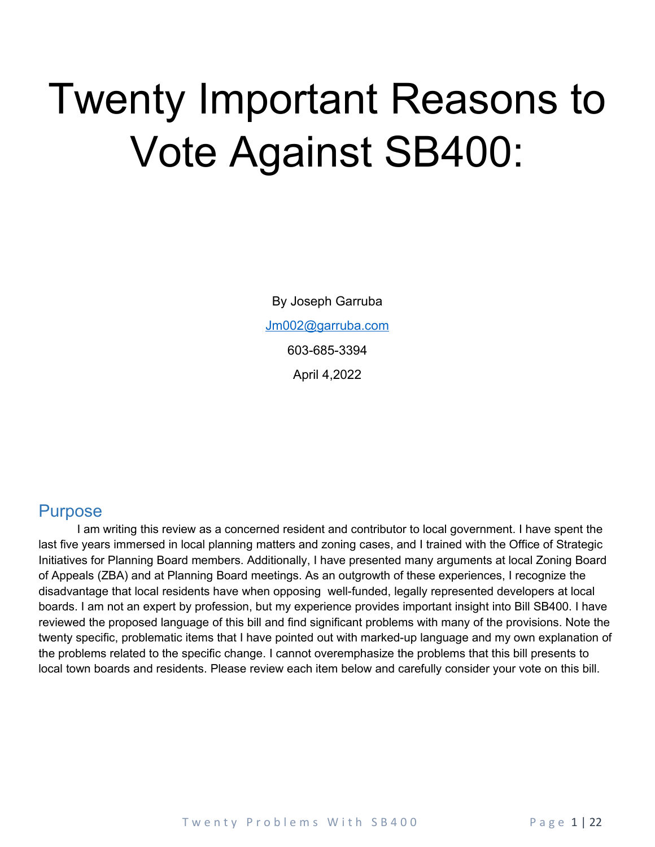# Twenty Important Reasons to Vote Against SB400:

By Joseph Garruba [Jm002@garruba.com](mailto:Jm002@garruba.com) 603-685-3394 April 4,2022

### <span id="page-0-0"></span>**Purpose**

I am writing this review as a concerned resident and contributor to local government. I have spent the last five years immersed in local planning matters and zoning cases, and I trained with the Office of Strategic Initiatives for Planning Board members. Additionally, I have presented many arguments at local Zoning Board of Appeals (ZBA) and at Planning Board meetings. As an outgrowth of these experiences, I recognize the disadvantage that local residents have when opposing well-funded, legally represented developers at local boards. I am not an expert by profession, but my experience provides important insight into Bill SB400. I have reviewed the proposed language of this bill and find significant problems with many of the provisions. Note the twenty specific, problematic items that I have pointed out with marked-up language and my own explanation of the problems related to the specific change. I cannot overemphasize the problems that this bill presents to local town boards and residents. Please review each item below and carefully consider your vote on this bill.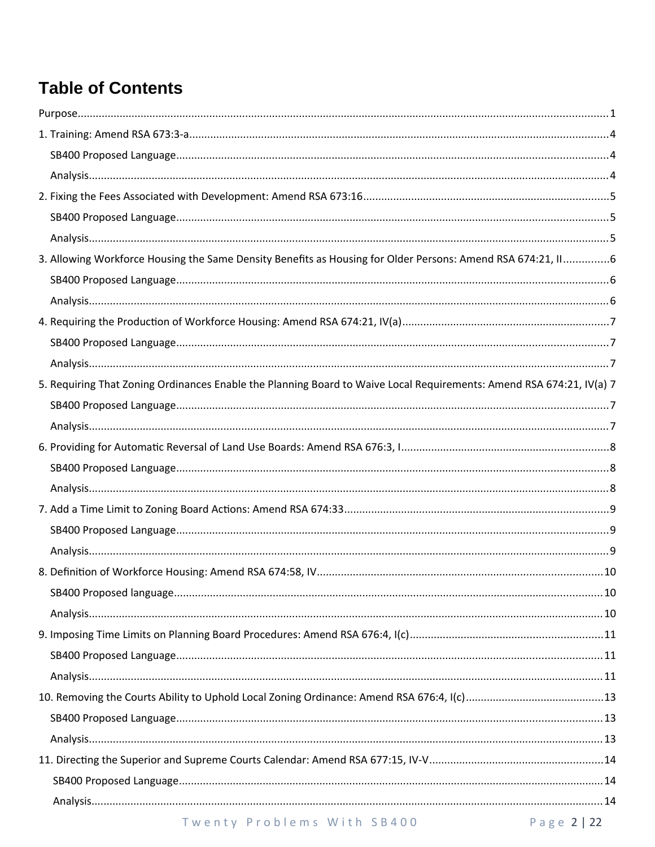# **Table of Contents**

| 3. Allowing Workforce Housing the Same Density Benefits as Housing for Older Persons: Amend RSA 674:21, II6          |  |
|----------------------------------------------------------------------------------------------------------------------|--|
|                                                                                                                      |  |
|                                                                                                                      |  |
|                                                                                                                      |  |
|                                                                                                                      |  |
|                                                                                                                      |  |
| 5. Requiring That Zoning Ordinances Enable the Planning Board to Waive Local Requirements: Amend RSA 674:21, IV(a) 7 |  |
|                                                                                                                      |  |
|                                                                                                                      |  |
|                                                                                                                      |  |
|                                                                                                                      |  |
|                                                                                                                      |  |
|                                                                                                                      |  |
|                                                                                                                      |  |
|                                                                                                                      |  |
|                                                                                                                      |  |
|                                                                                                                      |  |
|                                                                                                                      |  |
|                                                                                                                      |  |
|                                                                                                                      |  |
|                                                                                                                      |  |
|                                                                                                                      |  |
|                                                                                                                      |  |
|                                                                                                                      |  |
|                                                                                                                      |  |
|                                                                                                                      |  |
|                                                                                                                      |  |
|                                                                                                                      |  |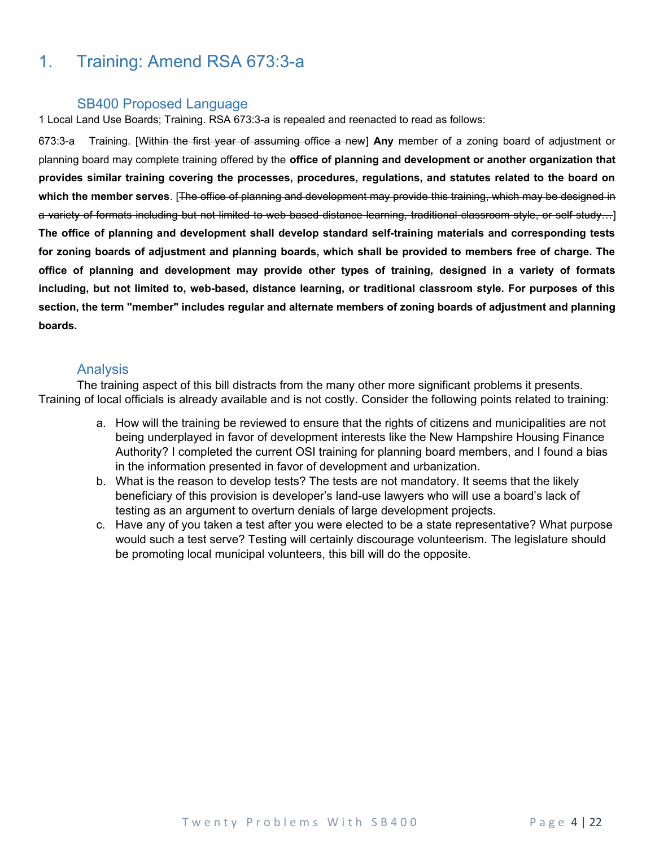### <span id="page-3-0"></span>1. Training: Amend RSA 673:3-a

#### <span id="page-3-1"></span>SB400 Proposed Language

1 Local Land Use Boards; Training. RSA 673:3-a is repealed and reenacted to read as follows:

673:3-a Training. [Within the first year of assuming office a new] **Any** member of a zoning board of adjustment or planning board may complete training offered by the **office of planning and development or another organization that provides similar training covering the processes, procedures, regulations, and statutes related to the board on which the member serves**. [The office of planning and development may provide this training, which may be designed in a variety of formats including but not limited to web based distance learning, traditional classroom style, or self study…] **The office of planning and development shall develop standard self-training materials and corresponding tests for zoning boards of adjustment and planning boards, which shall be provided to members free of charge. The office of planning and development may provide other types of training, designed in a variety of formats including, but not limited to, web-based, distance learning, or traditional classroom style. For purposes of this section, the term "member" includes regular and alternate members of zoning boards of adjustment and planning boards.**

#### <span id="page-3-2"></span>Analysis

The training aspect of this bill distracts from the many other more significant problems it presents. Training of local officials is already available and is not costly. Consider the following points related to training:

- a. How will the training be reviewed to ensure that the rights of citizens and municipalities are not being underplayed in favor of development interests like the New Hampshire Housing Finance Authority? I completed the current OSI training for planning board members, and I found a bias in the information presented in favor of development and urbanization.
- b. What is the reason to develop tests? The tests are not mandatory. It seems that the likely beneficiary of this provision is developer's land-use lawyers who will use a board's lack of testing as an argument to overturn denials of large development projects.
- c. Have any of you taken a test after you were elected to be a state representative? What purpose would such a test serve? Testing will certainly discourage volunteerism. The legislature should be promoting local municipal volunteers, this bill will do the opposite.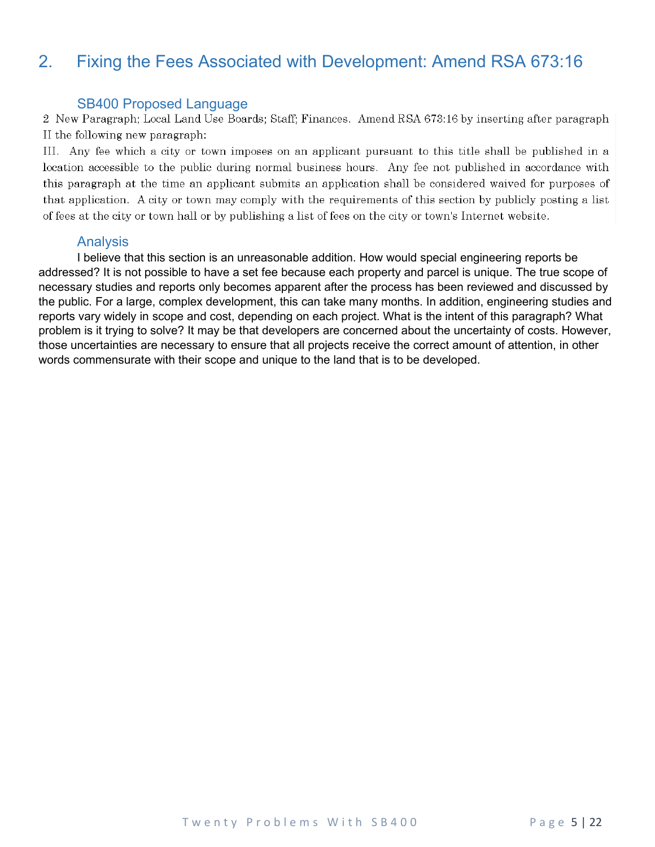### <span id="page-4-0"></span>2. Fixing the Fees Associated with Development: Amend RSA 673:16

<span id="page-4-1"></span>SB400 Proposed Language<br>2 New Paragraph; Local Land Use Boards; Staff; Finances. Amend RSA 673:16 by inserting after paragraph II the following new paragraph:

III. Any fee which a city or town imposes on an applicant pursuant to this title shall be published in a location accessible to the public during normal business hours. Any fee not published in accordance with this paragraph at the time an applicant submits an application shall be considered waived for purposes of that application. A city or town may comply with the requirements of this section by publicly posting a list of fees at the city or town hall or by publishing a list of fees on the city or town's Internet website.

#### <span id="page-4-2"></span>Analysis

I believe that this section is an unreasonable addition. How would special engineering reports be addressed? It is not possible to have a set fee because each property and parcel is unique. The true scope of necessary studies and reports only becomes apparent after the process has been reviewed and discussed by the public. For a large, complex development, this can take many months. In addition, engineering studies and reports vary widely in scope and cost, depending on each project. What is the intent of this paragraph? What problem is it trying to solve? It may be that developers are concerned about the uncertainty of costs. However, those uncertainties are necessary to ensure that all projects receive the correct amount of attention, in other words commensurate with their scope and unique to the land that is to be developed.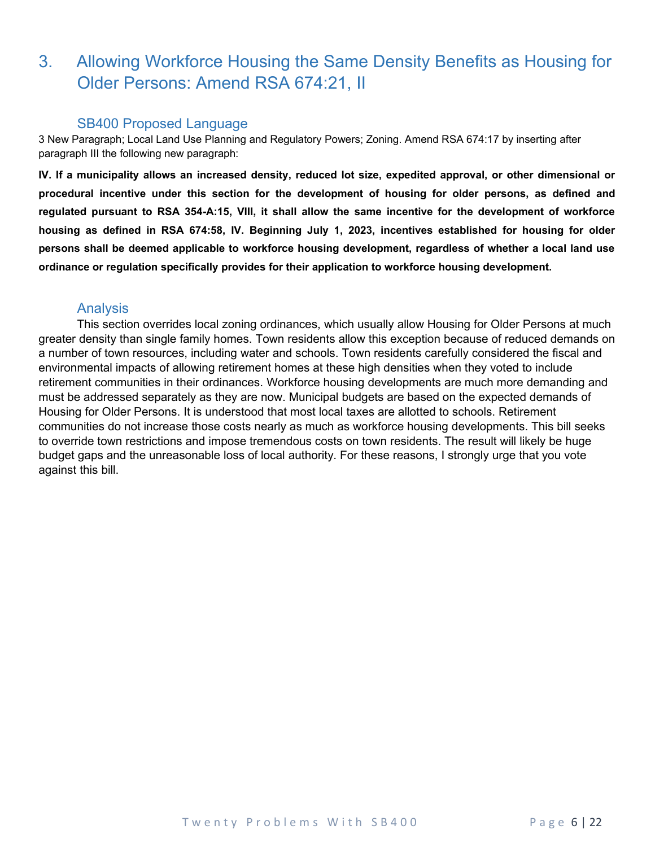### <span id="page-5-0"></span>3. Allowing Workforce Housing the Same Density Benefits as Housing for Older Persons: Amend RSA 674:21, II

#### <span id="page-5-1"></span>SB400 Proposed Language

3 New Paragraph; Local Land Use Planning and Regulatory Powers; Zoning. Amend RSA 674:17 by inserting after paragraph III the following new paragraph:

**IV. If a municipality allows an increased density, reduced lot size, expedited approval, or other dimensional or procedural incentive under this section for the development of housing for older persons, as defined and regulated pursuant to RSA 354-A:15, VIII, it shall allow the same incentive for the development of workforce housing as defined in RSA 674:58, IV. Beginning July 1, 2023, incentives established for housing for older persons shall be deemed applicable to workforce housing development, regardless of whether a local land use ordinance or regulation specifically provides for their application to workforce housing development.**

#### <span id="page-5-2"></span>Analysis

This section overrides local zoning ordinances, which usually allow Housing for Older Persons at much greater density than single family homes. Town residents allow this exception because of reduced demands on a number of town resources, including water and schools. Town residents carefully considered the fiscal and environmental impacts of allowing retirement homes at these high densities when they voted to include retirement communities in their ordinances. Workforce housing developments are much more demanding and must be addressed separately as they are now. Municipal budgets are based on the expected demands of Housing for Older Persons. It is understood that most local taxes are allotted to schools. Retirement communities do not increase those costs nearly as much as workforce housing developments. This bill seeks to override town restrictions and impose tremendous costs on town residents. The result will likely be huge budget gaps and the unreasonable loss of local authority. For these reasons, I strongly urge that you vote against this bill.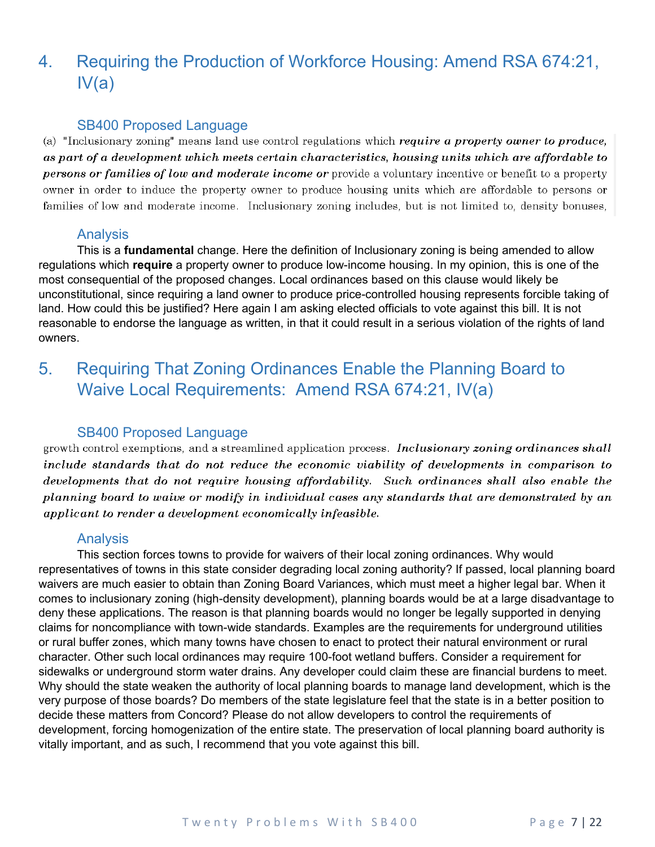# <span id="page-6-0"></span>4. Requiring the Production of Workforce Housing: Amend RSA 674:21,  $IV(a)$

#### <span id="page-6-1"></span>SB400 Proposed Language

(a) "Inclusionary zoning" means land use control regulations which require a property owner to produce, as part of a development which meets certain characteristics, housing units which are affordable to persons or families of low and moderate income or provide a voluntary incentive or benefit to a property owner in order to induce the property owner to produce housing units which are affordable to persons or families of low and moderate income. Inclusionary zoning includes, but is not limited to, density bonuses,

### <span id="page-6-2"></span>Analysis

This is a **fundamental** change. Here the definition of Inclusionary zoning is being amended to allow regulations which **require** a property owner to produce low-income housing. In my opinion, this is one of the most consequential of the proposed changes. Local ordinances based on this clause would likely be unconstitutional, since requiring a land owner to produce price-controlled housing represents forcible taking of land. How could this be justified? Here again I am asking elected officials to vote against this bill. It is not reasonable to endorse the language as written, in that it could result in a serious violation of the rights of land owners.

### <span id="page-6-3"></span>5. Requiring That Zoning Ordinances Enable the Planning Board to Waive Local Requirements: Amend RSA 674:21, IV(a)

#### <span id="page-6-4"></span>SB400 Proposed Language

growth control exemptions, and a streamlined application process. Inclusionary zoning ordinances shall include standards that do not reduce the economic viability of developments in comparison to developments that do not require housing affordability. Such ordinances shall also enable the planning board to waive or modify in individual cases any standards that are demonstrated by an applicant to render a development economically infeasible.

#### <span id="page-6-5"></span>**Analysis**

This section forces towns to provide for waivers of their local zoning ordinances. Why would representatives of towns in this state consider degrading local zoning authority? If passed, local planning board waivers are much easier to obtain than Zoning Board Variances, which must meet a higher legal bar. When it comes to inclusionary zoning (high-density development), planning boards would be at a large disadvantage to deny these applications. The reason is that planning boards would no longer be legally supported in denying claims for noncompliance with town-wide standards. Examples are the requirements for underground utilities or rural buffer zones, which many towns have chosen to enact to protect their natural environment or rural character. Other such local ordinances may require 100-foot wetland buffers. Consider a requirement for sidewalks or underground storm water drains. Any developer could claim these are financial burdens to meet. Why should the state weaken the authority of local planning boards to manage land development, which is the very purpose of those boards? Do members of the state legislature feel that the state is in a better position to decide these matters from Concord? Please do not allow developers to control the requirements of development, forcing homogenization of the entire state. The preservation of local planning board authority is vitally important, and as such, I recommend that you vote against this bill.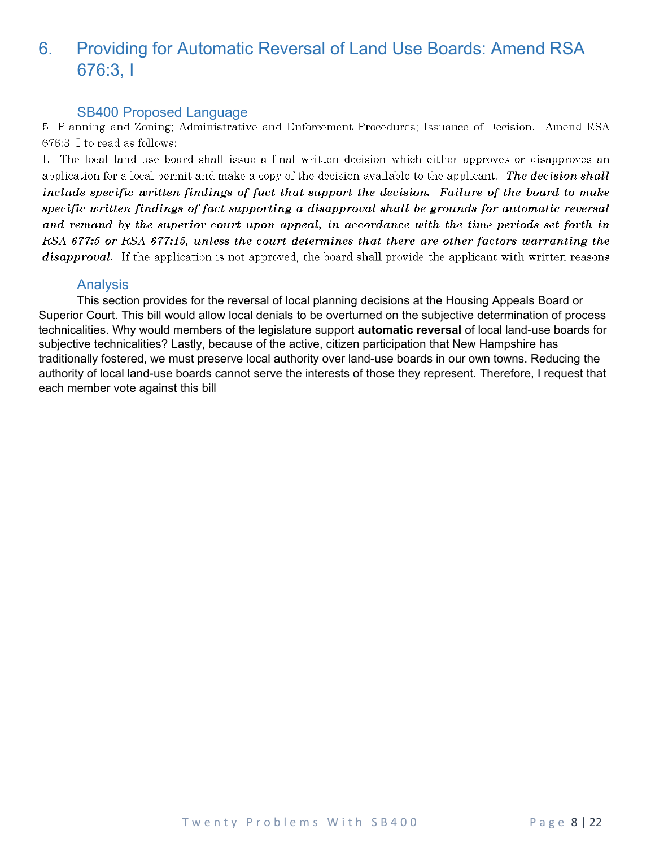### <span id="page-7-1"></span>6. Providing for Automatic Reversal of Land Use Boards: Amend RSA 676:3, I

<span id="page-7-2"></span>SB400 Proposed Language<br>5 Planning and Zoning: Administrative and Enforcement Procedures; Issuance of Decision. Amend RSA 676:3, I to read as follows:

I. The local land use board shall issue a final written decision which either approves or disapproves an application for a local permit and make a copy of the decision available to the applicant. The decision shall include specific written findings of fact that support the decision. Failure of the board to make specific written findings of fact supporting a disapproval shall be grounds for automatic reversal and remand by the superior court upon appeal, in accordance with the time periods set forth in RSA 677:5 or RSA 677:15, unless the court determines that there are other factors warranting the *disapproval.* If the application is not approved, the board shall provide the applicant with written reasons

#### <span id="page-7-0"></span>Analysis

This section provides for the reversal of local planning decisions at the Housing Appeals Board or Superior Court. This bill would allow local denials to be overturned on the subjective determination of process technicalities. Why would members of the legislature support **automatic reversal** of local land-use boards for subjective technicalities? Lastly, because of the active, citizen participation that New Hampshire has traditionally fostered, we must preserve local authority over land-use boards in our own towns. Reducing the authority of local land-use boards cannot serve the interests of those they represent. Therefore, I request that each member vote against this bill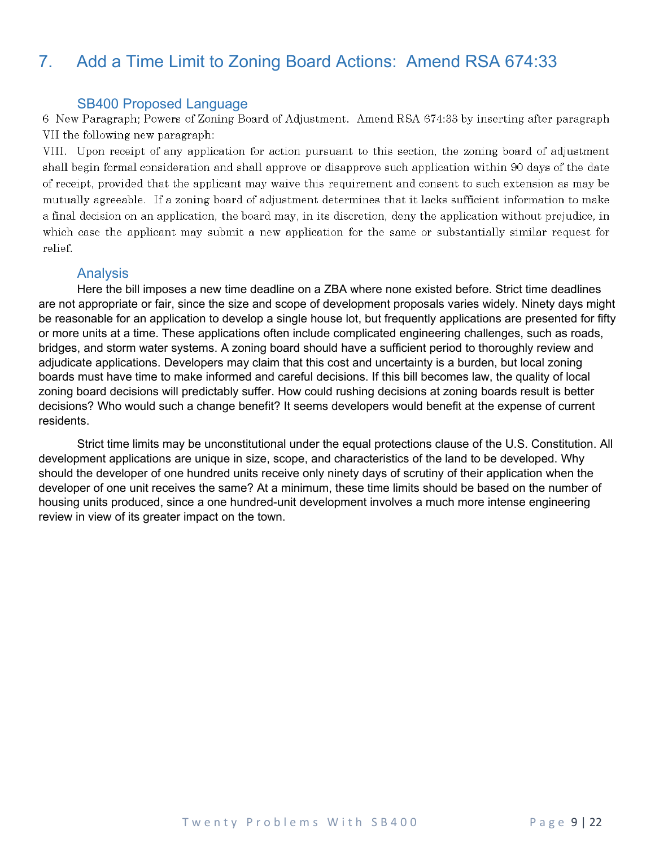### <span id="page-8-0"></span>7. Add a Time Limit to Zoning Board Actions: Amend RSA 674:33

<span id="page-8-1"></span>SB400 Proposed Language<br>6 New Paragraph; Powers of Zoning Board of Adjustment. Amend RSA 674:33 by inserting after paragraph VII the following new paragraph:

VIII. Upon receipt of any application for action pursuant to this section, the zoning board of adjustment shall begin formal consideration and shall approve or disapprove such application within 90 days of the date of receipt, provided that the applicant may waive this requirement and consent to such extension as may be mutually agreeable. If a zoning board of adjustment determines that it lacks sufficient information to make a final decision on an application, the board may, in its discretion, deny the application without prejudice, in which case the applicant may submit a new application for the same or substantially similar request for relief.

#### <span id="page-8-2"></span>Analysis

Here the bill imposes a new time deadline on a ZBA where none existed before. Strict time deadlines are not appropriate or fair, since the size and scope of development proposals varies widely. Ninety days might be reasonable for an application to develop a single house lot, but frequently applications are presented for fifty or more units at a time. These applications often include complicated engineering challenges, such as roads, bridges, and storm water systems. A zoning board should have a sufficient period to thoroughly review and adjudicate applications. Developers may claim that this cost and uncertainty is a burden, but local zoning boards must have time to make informed and careful decisions. If this bill becomes law, the quality of local zoning board decisions will predictably suffer. How could rushing decisions at zoning boards result is better decisions? Who would such a change benefit? It seems developers would benefit at the expense of current residents.

Strict time limits may be unconstitutional under the equal protections clause of the U.S. Constitution. All development applications are unique in size, scope, and characteristics of the land to be developed. Why should the developer of one hundred units receive only ninety days of scrutiny of their application when the developer of one unit receives the same? At a minimum, these time limits should be based on the number of housing units produced, since a one hundred-unit development involves a much more intense engineering review in view of its greater impact on the town.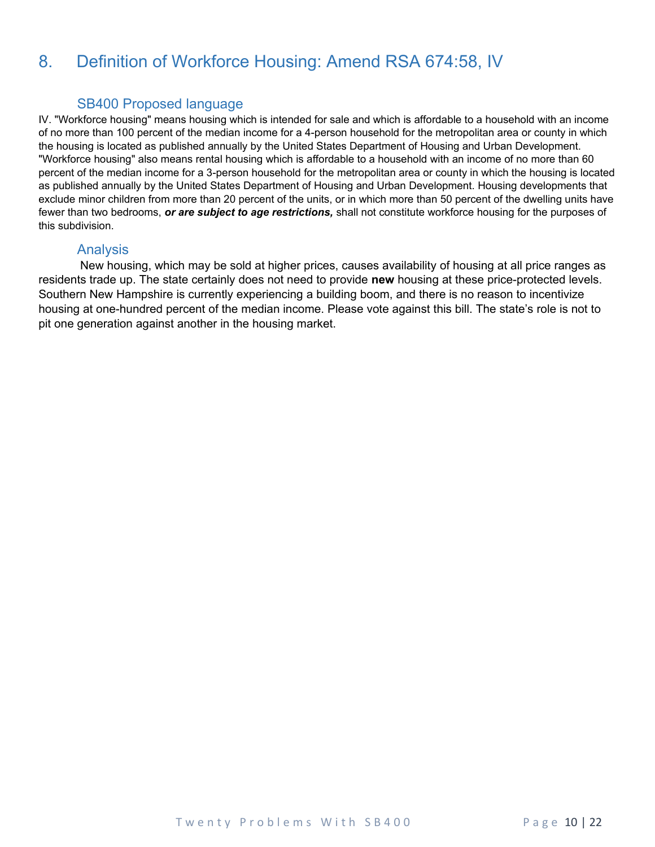### <span id="page-9-0"></span>8. Definition of Workforce Housing: Amend RSA 674:58, IV

### <span id="page-9-1"></span>SB400 Proposed language

IV. "Workforce housing" means housing which is intended for sale and which is affordable to a household with an income of no more than 100 percent of the median income for a 4-person household for the metropolitan area or county in which the housing is located as published annually by the United States Department of Housing and Urban Development. "Workforce housing" also means rental housing which is affordable to a household with an income of no more than 60 percent of the median income for a 3-person household for the metropolitan area or county in which the housing is located as published annually by the United States Department of Housing and Urban Development. Housing developments that exclude minor children from more than 20 percent of the units, or in which more than 50 percent of the dwelling units have fewer than two bedrooms, *or are subject to age restrictions,* shall not constitute workforce housing for the purposes of this subdivision.

#### <span id="page-9-2"></span>Analysis

 New housing, which may be sold at higher prices, causes availability of housing at all price ranges as residents trade up. The state certainly does not need to provide **new** housing at these price-protected levels. Southern New Hampshire is currently experiencing a building boom, and there is no reason to incentivize housing at one-hundred percent of the median income. Please vote against this bill. The state's role is not to pit one generation against another in the housing market.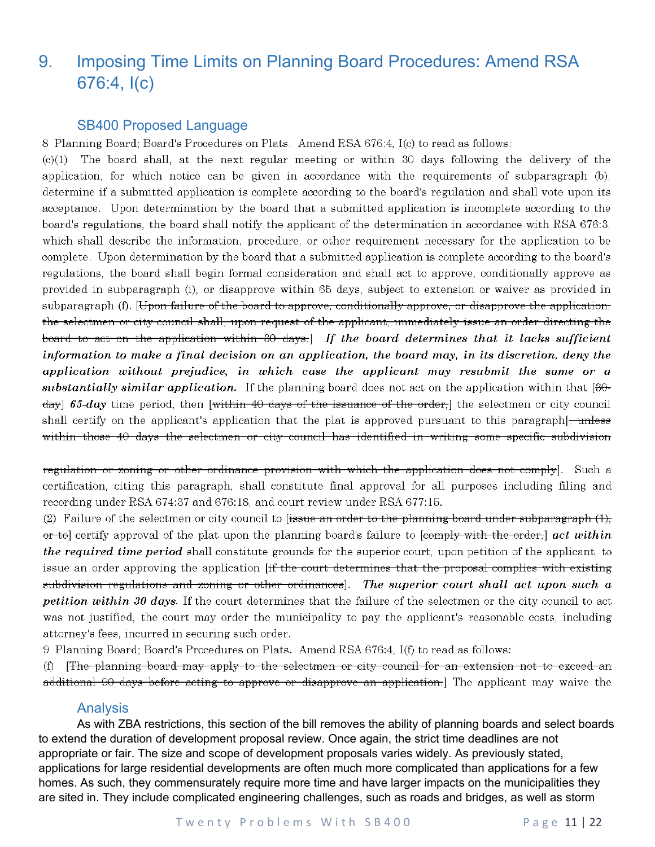### <span id="page-10-0"></span>9. Imposing Time Limits on Planning Board Procedures: Amend RSA 676:4, I(c)

#### <span id="page-10-1"></span>SB400 Proposed Language

8 Planning Board; Board's Procedures on Plats. Amend RSA 676:4, I(c) to read as follows:

The board shall, at the next regular meeting or within 30 days following the delivery of the  $(c)(1)$ application, for which notice can be given in accordance with the requirements of subparagraph (b), determine if a submitted application is complete according to the board's regulation and shall vote upon its acceptance. Upon determination by the board that a submitted application is incomplete according to the board's regulations, the board shall notify the applicant of the determination in accordance with RSA 676:3, which shall describe the information, procedure, or other requirement necessary for the application to be complete. Upon determination by the board that a submitted application is complete according to the board's regulations, the board shall begin formal consideration and shall act to approve, conditionally approve as provided in subparagraph (i), or disapprove within 65 days, subject to extension or waiver as provided in subparagraph (f). [Upon failure of the board to approve, conditionally approve, or disapprove the application, the selectmen or city council shall, upon request of the applicant, immediately issue an order directing the board to act on the application within 30 days. If the board determines that it lacks sufficient information to make a final decision on an application, the board may, in its discretion, deny the application without prejudice, in which case the applicant may resubmit the same or a substantially similar application. If the planning board does not act on the application within that  $[3\theta \frac{1}{2}$  65-day time period, then [within 40 days of the issuance of the order,] the selectmen or city council shall certify on the applicant's application that the plat is approved pursuant to this paragraph within those 40 days the selectmen or city council has identified in writing some specific subdivision

regulation or zoning or other ordinance provision with which the application does not comply]. Such a certification, citing this paragraph, shall constitute final approval for all purposes including filing and recording under RSA 674:37 and 676:18, and court review under RSA 677:15.

(2) Failure of the selectmen or city council to fissue an order to the planning board under subparagraph  $(1)$ , or to certify approval of the plat upon the planning board's failure to [comply with the order,] act within *the required time period* shall constitute grounds for the superior court, upon petition of the applicant, to issue an order approving the application [if the court determines that the proposal complies with existing subdivision regulations and zoning or other ordinances]. The superior court shall act upon such a petition within 30 days. If the court determines that the failure of the selectmen or the city council to act was not justified, the court may order the municipality to pay the applicant's reasonable costs, including attorney's fees, incurred in securing such order.

9 Planning Board; Board's Procedures on Plats. Amend RSA 676:4, I(f) to read as follows:

[The planning board may apply to the selectmen or city council for an extension not to exceed an  $(f)$ additional 90 days before acting to approve or disapprove an application.] The applicant may waive the

#### <span id="page-10-2"></span>Analysis

As with ZBA restrictions, this section of the bill removes the ability of planning boards and select boards to extend the duration of development proposal review. Once again, the strict time deadlines are not appropriate or fair. The size and scope of development proposals varies widely. As previously stated, applications for large residential developments are often much more complicated than applications for a few homes. As such, they commensurately require more time and have larger impacts on the municipalities they are sited in. They include complicated engineering challenges, such as roads and bridges, as well as storm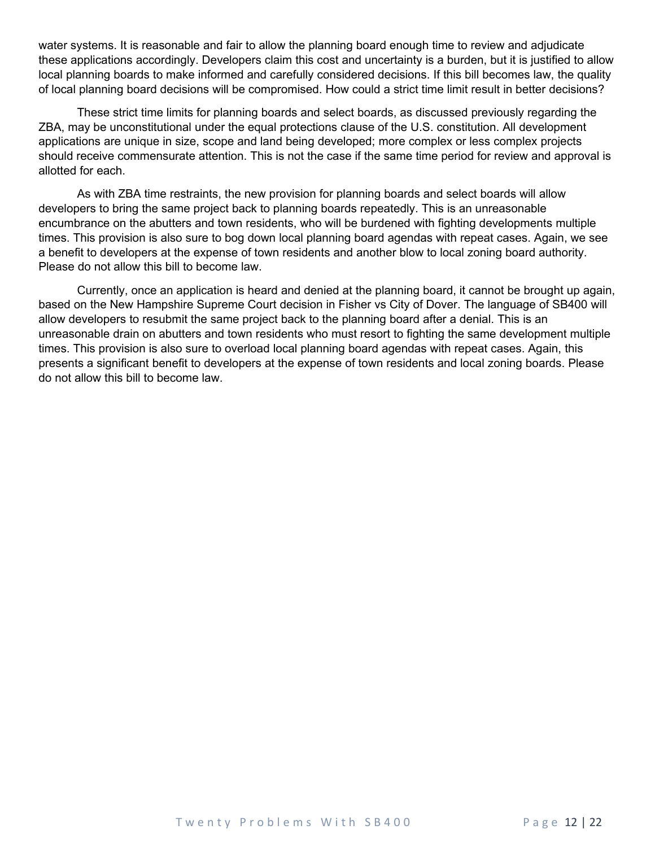water systems. It is reasonable and fair to allow the planning board enough time to review and adjudicate these applications accordingly. Developers claim this cost and uncertainty is a burden, but it is justified to allow local planning boards to make informed and carefully considered decisions. If this bill becomes law, the quality of local planning board decisions will be compromised. How could a strict time limit result in better decisions?

These strict time limits for planning boards and select boards, as discussed previously regarding the ZBA, may be unconstitutional under the equal protections clause of the U.S. constitution. All development applications are unique in size, scope and land being developed; more complex or less complex projects should receive commensurate attention. This is not the case if the same time period for review and approval is allotted for each.

As with ZBA time restraints, the new provision for planning boards and select boards will allow developers to bring the same project back to planning boards repeatedly. This is an unreasonable encumbrance on the abutters and town residents, who will be burdened with fighting developments multiple times. This provision is also sure to bog down local planning board agendas with repeat cases. Again, we see a benefit to developers at the expense of town residents and another blow to local zoning board authority. Please do not allow this bill to become law.

Currently, once an application is heard and denied at the planning board, it cannot be brought up again, based on the New Hampshire Supreme Court decision in Fisher vs City of Dover. The language of SB400 will allow developers to resubmit the same project back to the planning board after a denial. This is an unreasonable drain on abutters and town residents who must resort to fighting the same development multiple times. This provision is also sure to overload local planning board agendas with repeat cases. Again, this presents a significant benefit to developers at the expense of town residents and local zoning boards. Please do not allow this bill to become law.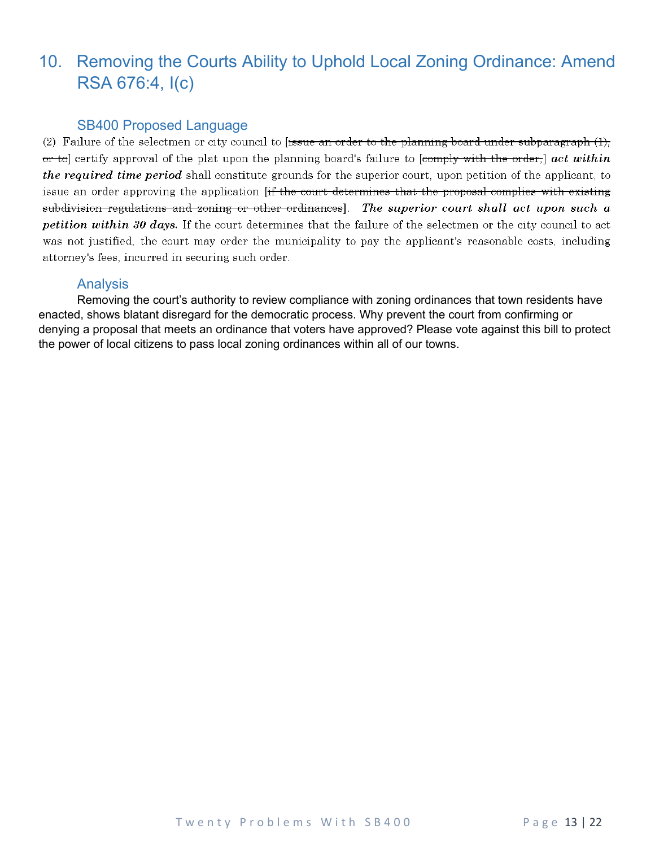### <span id="page-12-0"></span>10. Removing the Courts Ability to Uphold Local Zoning Ordinance: Amend RSA 676:4, I(c)

#### <span id="page-12-1"></span>SB400 Proposed Language

(2) Failure of the selectmen or city council to fissue an order to the planning board under subparagraph  $(1)$ , or to certify approval of the plat upon the planning board's failure to [comply with the order,] act within *the required time period* shall constitute grounds for the superior court, upon petition of the applicant, to issue an order approving the application [if the court determines that the proposal complies with existing subdivision regulations and zoning or other ordinances]. The superior court shall act upon such a petition within 30 days. If the court determines that the failure of the selectmen or the city council to act was not justified, the court may order the municipality to pay the applicant's reasonable costs, including attorney's fees, incurred in securing such order.

#### <span id="page-12-2"></span>Analysis

Removing the court's authority to review compliance with zoning ordinances that town residents have enacted, shows blatant disregard for the democratic process. Why prevent the court from confirming or denying a proposal that meets an ordinance that voters have approved? Please vote against this bill to protect the power of local citizens to pass local zoning ordinances within all of our towns.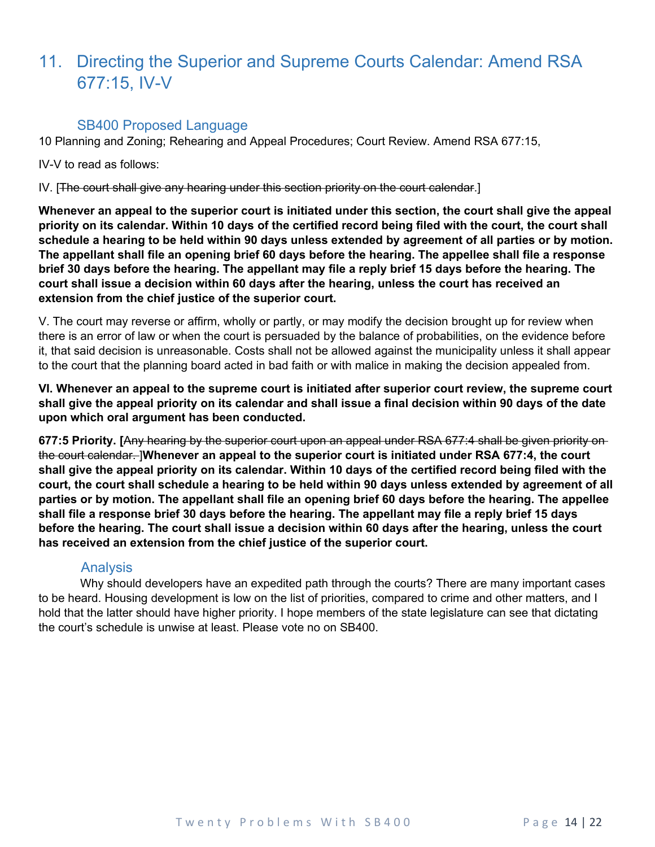### <span id="page-13-0"></span>11. Directing the Superior and Supreme Courts Calendar: Amend RSA 677:15, IV-V

#### SB400 Proposed Language

<span id="page-13-1"></span>10 Planning and Zoning; Rehearing and Appeal Procedures; Court Review. Amend RSA 677:15,

IV-V to read as follows:

IV. [The court shall give any hearing under this section priority on the court calendar.]

**Whenever an appeal to the superior court is initiated under this section, the court shall give the appeal priority on its calendar. Within 10 days of the certified record being filed with the court, the court shall schedule a hearing to be held within 90 days unless extended by agreement of all parties or by motion. The appellant shall file an opening brief 60 days before the hearing. The appellee shall file a response brief 30 days before the hearing. The appellant may file a reply brief 15 days before the hearing. The court shall issue a decision within 60 days after the hearing, unless the court has received an extension from the chief justice of the superior court.**

V. The court may reverse or affirm, wholly or partly, or may modify the decision brought up for review when there is an error of law or when the court is persuaded by the balance of probabilities, on the evidence before it, that said decision is unreasonable. Costs shall not be allowed against the municipality unless it shall appear to the court that the planning board acted in bad faith or with malice in making the decision appealed from.

**VI. Whenever an appeal to the supreme court is initiated after superior court review, the supreme court shall give the appeal priority on its calendar and shall issue a final decision within 90 days of the date upon which oral argument has been conducted.**

**677:5 Priority. [**Any hearing by the superior court upon an appeal under RSA 677:4 shall be given priority on the court calendar. ]**Whenever an appeal to the superior court is initiated under RSA 677:4, the court shall give the appeal priority on its calendar. Within 10 days of the certified record being filed with the court, the court shall schedule a hearing to be held within 90 days unless extended by agreement of all parties or by motion. The appellant shall file an opening brief 60 days before the hearing. The appellee shall file a response brief 30 days before the hearing. The appellant may file a reply brief 15 days before the hearing. The court shall issue a decision within 60 days after the hearing, unless the court has received an extension from the chief justice of the superior court.**

#### <span id="page-13-2"></span>Analysis

 Why should developers have an expedited path through the courts? There are many important cases to be heard. Housing development is low on the list of priorities, compared to crime and other matters, and I hold that the latter should have higher priority. I hope members of the state legislature can see that dictating the court's schedule is unwise at least. Please vote no on SB400.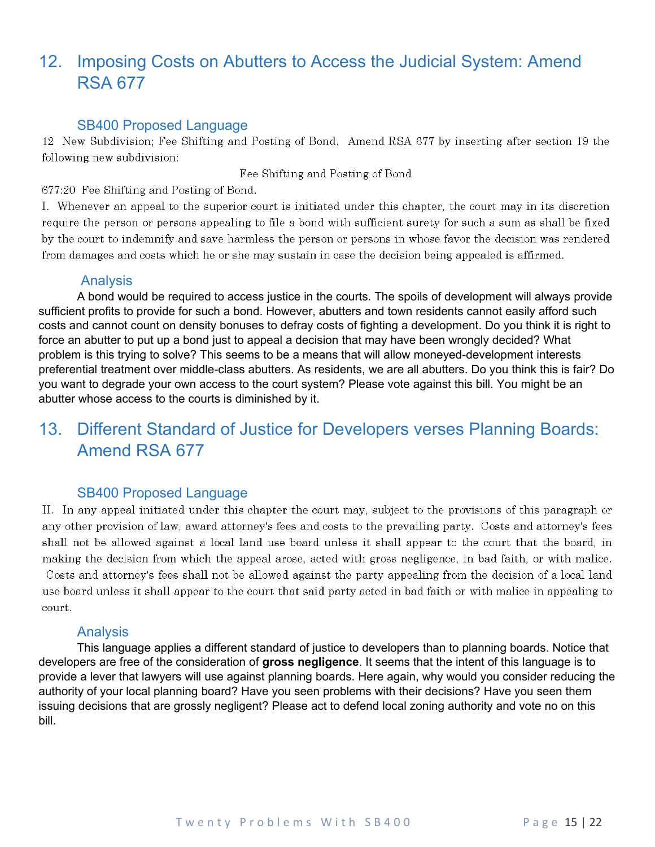### <span id="page-14-0"></span>12. Imposing Costs on Abutters to Access the Judicial System: Amend RSA 677

#### SB400 Proposed Language

<span id="page-14-1"></span>12 New Subdivision; Fee Shifting and Posting of Bond. Amend RSA 677 by inserting after section 19 the following new subdivision:

Fee Shifting and Posting of Bond

677:20 Fee Shifting and Posting of Bond.

I. Whenever an appeal to the superior court is initiated under this chapter, the court may in its discretion require the person or persons appealing to file a bond with sufficient surety for such a sum as shall be fixed by the court to indemnify and save harmless the person or persons in whose favor the decision was rendered from damages and costs which he or she may sustain in case the decision being appealed is affirmed.

#### <span id="page-14-2"></span>Analysis

A bond would be required to access justice in the courts. The spoils of development will always provide sufficient profits to provide for such a bond. However, abutters and town residents cannot easily afford such costs and cannot count on density bonuses to defray costs of fighting a development. Do you think it is right to force an abutter to put up a bond just to appeal a decision that may have been wrongly decided? What problem is this trying to solve? This seems to be a means that will allow moneyed-development interests preferential treatment over middle-class abutters. As residents, we are all abutters. Do you think this is fair? Do you want to degrade your own access to the court system? Please vote against this bill. You might be an abutter whose access to the courts is diminished by it.

### <span id="page-14-3"></span>13. Different Standard of Justice for Developers verses Planning Boards: Amend RSA 677

#### SB400 Proposed Language

<span id="page-14-4"></span>II. In any appeal initiated under this chapter the court may, subject to the provisions of this paragraph or any other provision of law, award attorney's fees and costs to the prevailing party. Costs and attorney's fees shall not be allowed against a local land use board unless it shall appear to the court that the board, in making the decision from which the appeal arose, acted with gross negligence, in bad faith, or with malice. Costs and attorney's fees shall not be allowed against the party appealing from the decision of a local land use board unless it shall appear to the court that said party acted in bad faith or with malice in appealing to court.

#### **Analysis**

<span id="page-14-5"></span>This language applies a different standard of justice to developers than to planning boards. Notice that developers are free of the consideration of **gross negligence**. It seems that the intent of this language is to provide a lever that lawyers will use against planning boards. Here again, why would you consider reducing the authority of your local planning board? Have you seen problems with their decisions? Have you seen them issuing decisions that are grossly negligent? Please act to defend local zoning authority and vote no on this bill.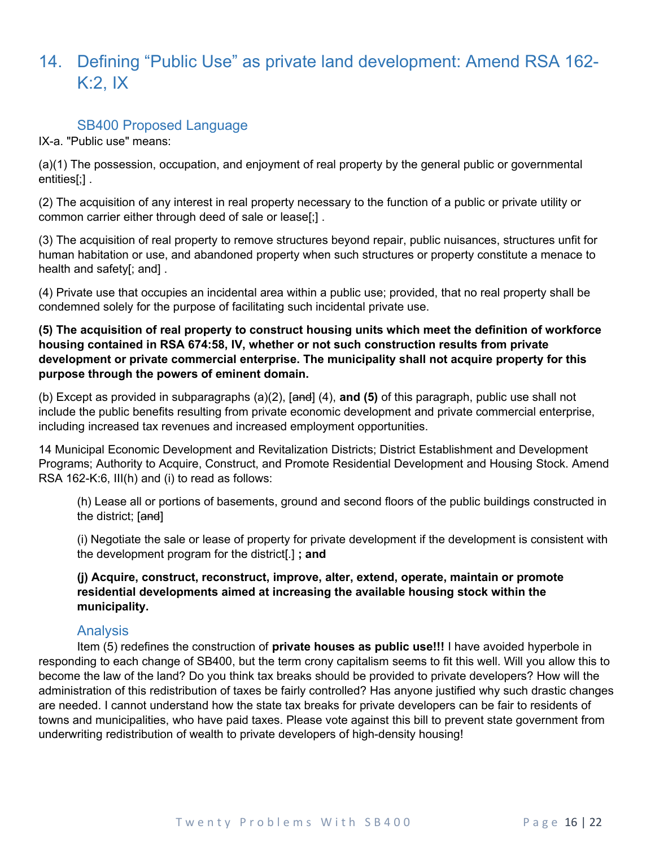### <span id="page-15-0"></span>14. Defining "Public Use" as private land development: Amend RSA 162- K:2, IX

#### SB400 Proposed Language

<span id="page-15-1"></span>IX-a. "Public use" means:

(a)(1) The possession, occupation, and enjoyment of real property by the general public or governmental entities[;] .

(2) The acquisition of any interest in real property necessary to the function of a public or private utility or common carrier either through deed of sale or lease[;] .

(3) The acquisition of real property to remove structures beyond repair, public nuisances, structures unfit for human habitation or use, and abandoned property when such structures or property constitute a menace to health and safety[; and] .

(4) Private use that occupies an incidental area within a public use; provided, that no real property shall be condemned solely for the purpose of facilitating such incidental private use.

**(5) The acquisition of real property to construct housing units which meet the definition of workforce housing contained in RSA 674:58, IV, whether or not such construction results from private development or private commercial enterprise. The municipality shall not acquire property for this purpose through the powers of eminent domain.**

(b) Except as provided in subparagraphs (a)(2), [and] (4), **and (5)** of this paragraph, public use shall not include the public benefits resulting from private economic development and private commercial enterprise, including increased tax revenues and increased employment opportunities.

14 Municipal Economic Development and Revitalization Districts; District Establishment and Development Programs; Authority to Acquire, Construct, and Promote Residential Development and Housing Stock. Amend RSA 162-K:6, III(h) and (i) to read as follows:

(h) Lease all or portions of basements, ground and second floors of the public buildings constructed in the district; [and]

(i) Negotiate the sale or lease of property for private development if the development is consistent with the development program for the district[.] **; and**

#### **(j) Acquire, construct, reconstruct, improve, alter, extend, operate, maintain or promote residential developments aimed at increasing the available housing stock within the municipality.**

#### Analysis

<span id="page-15-2"></span>Item (5) redefines the construction of **private houses as public use!!!** I have avoided hyperbole in responding to each change of SB400, but the term crony capitalism seems to fit this well. Will you allow this to become the law of the land? Do you think tax breaks should be provided to private developers? How will the administration of this redistribution of taxes be fairly controlled? Has anyone justified why such drastic changes are needed. I cannot understand how the state tax breaks for private developers can be fair to residents of towns and municipalities, who have paid taxes. Please vote against this bill to prevent state government from underwriting redistribution of wealth to private developers of high-density housing!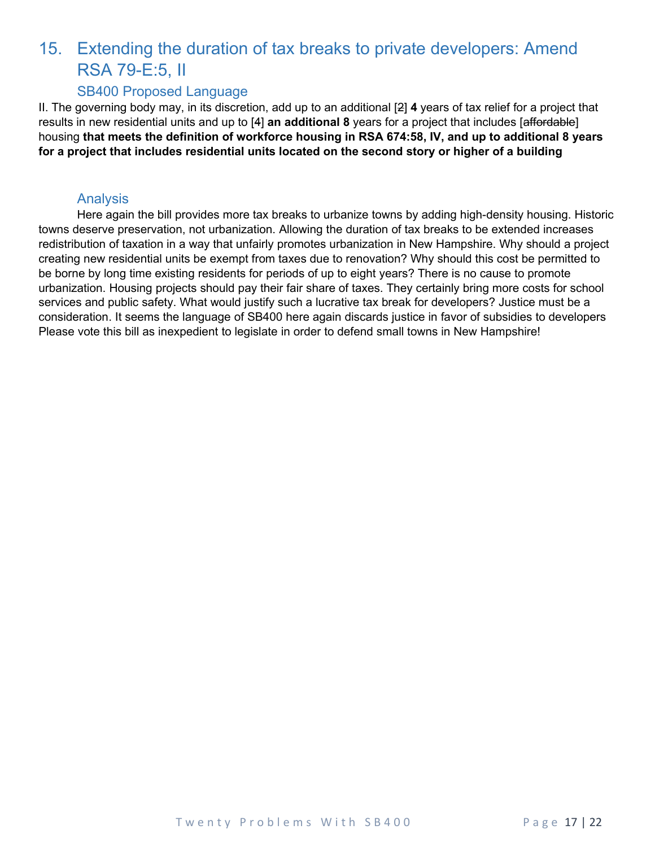## <span id="page-16-0"></span>15. Extending the duration of tax breaks to private developers: Amend RSA 79-E:5, II

#### SB400 Proposed Language

<span id="page-16-1"></span>II. The governing body may, in its discretion, add up to an additional [2] **4** years of tax relief for a project that results in new residential units and up to [4] **an additional 8** years for a project that includes [affordable] housing **that meets the definition of workforce housing in RSA 674:58, IV, and up to additional 8 years for a project that includes residential units located on the second story or higher of a building**

#### Analysis

<span id="page-16-2"></span>Here again the bill provides more tax breaks to urbanize towns by adding high-density housing. Historic towns deserve preservation, not urbanization. Allowing the duration of tax breaks to be extended increases redistribution of taxation in a way that unfairly promotes urbanization in New Hampshire. Why should a project creating new residential units be exempt from taxes due to renovation? Why should this cost be permitted to be borne by long time existing residents for periods of up to eight years? There is no cause to promote urbanization. Housing projects should pay their fair share of taxes. They certainly bring more costs for school services and public safety. What would justify such a lucrative tax break for developers? Justice must be a consideration. It seems the language of SB400 here again discards justice in favor of subsidies to developers Please vote this bill as inexpedient to legislate in order to defend small towns in New Hampshire!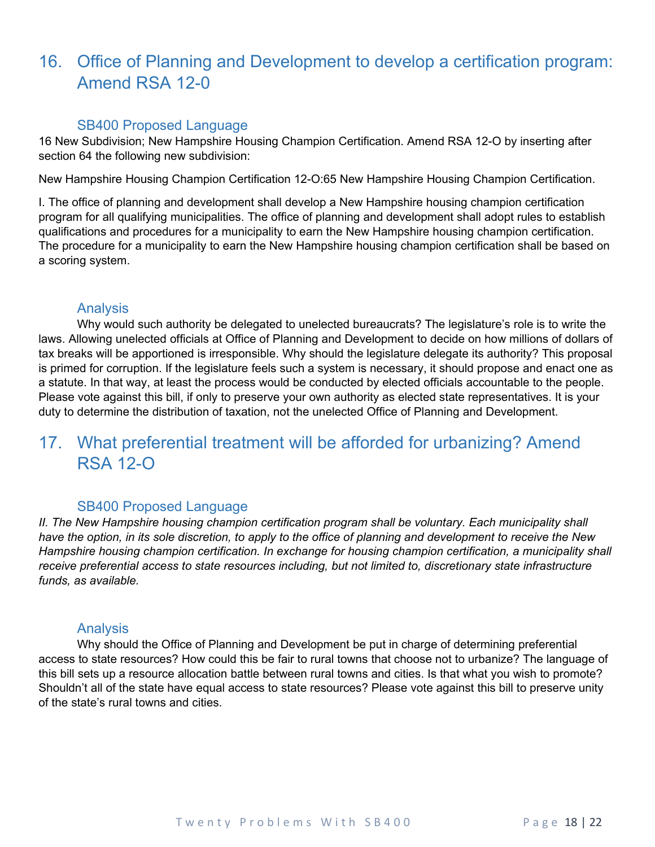### <span id="page-17-0"></span>16. Office of Planning and Development to develop a certification program: Amend RSA 12-0

#### SB400 Proposed Language

<span id="page-17-1"></span>16 New Subdivision; New Hampshire Housing Champion Certification. Amend RSA 12-O by inserting after section 64 the following new subdivision:

New Hampshire Housing Champion Certification 12-O:65 New Hampshire Housing Champion Certification.

I. The office of planning and development shall develop a New Hampshire housing champion certification program for all qualifying municipalities. The office of planning and development shall adopt rules to establish qualifications and procedures for a municipality to earn the New Hampshire housing champion certification. The procedure for a municipality to earn the New Hampshire housing champion certification shall be based on a scoring system.

#### Analysis

<span id="page-17-2"></span>Why would such authority be delegated to unelected bureaucrats? The legislature's role is to write the laws. Allowing unelected officials at Office of Planning and Development to decide on how millions of dollars of tax breaks will be apportioned is irresponsible. Why should the legislature delegate its authority? This proposal is primed for corruption. If the legislature feels such a system is necessary, it should propose and enact one as a statute. In that way, at least the process would be conducted by elected officials accountable to the people. Please vote against this bill, if only to preserve your own authority as elected state representatives. It is your duty to determine the distribution of taxation, not the unelected Office of Planning and Development.

### <span id="page-17-3"></span>17. What preferential treatment will be afforded for urbanizing? Amend RSA 12-O

#### SB400 Proposed Language

<span id="page-17-4"></span>*II. The New Hampshire housing champion certification program shall be voluntary. Each municipality shall* have the option, in its sole discretion, to apply to the office of planning and development to receive the New *Hampshire housing champion certification. In exchange for housing champion certification, a municipality shall receive preferential access to state resources including, but not limited to, discretionary state infrastructure funds, as available.*

#### Analysis

<span id="page-17-5"></span>Why should the Office of Planning and Development be put in charge of determining preferential access to state resources? How could this be fair to rural towns that choose not to urbanize? The language of this bill sets up a resource allocation battle between rural towns and cities. Is that what you wish to promote? Shouldn't all of the state have equal access to state resources? Please vote against this bill to preserve unity of the state's rural towns and cities.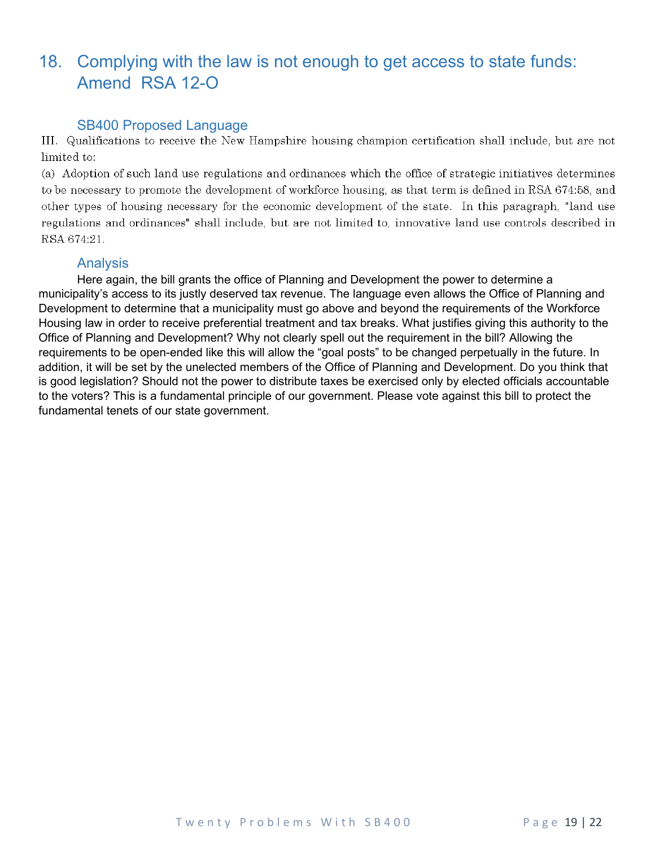### <span id="page-18-0"></span>18. Complying with the law is not enough to get access to state funds: Amend RSA 12-O

#### SB400 Proposed Language

<span id="page-18-1"></span>III. Qualifications to receive the New Hampshire housing champion certification shall include, but are not limited to:

(a) Adoption of such land use regulations and ordinances which the office of strategic initiatives determines to be necessary to promote the development of workforce housing, as that term is defined in RSA 674:58, and other types of housing necessary for the economic development of the state. In this paragraph, "land use regulations and ordinances" shall include, but are not limited to, innovative land use controls described in RSA 674:21.

#### Analysis

<span id="page-18-2"></span>Here again, the bill grants the office of Planning and Development the power to determine a municipality's access to its justly deserved tax revenue. The language even allows the Office of Planning and Development to determine that a municipality must go above and beyond the requirements of the Workforce Housing law in order to receive preferential treatment and tax breaks. What justifies giving this authority to the Office of Planning and Development? Why not clearly spell out the requirement in the bill? Allowing the requirements to be open-ended like this will allow the "goal posts" to be changed perpetually in the future. In addition, it will be set by the unelected members of the Office of Planning and Development. Do you think that is good legislation? Should not the power to distribute taxes be exercised only by elected officials accountable to the voters? This is a fundamental principle of our government. Please vote against this bill to protect the fundamental tenets of our state government.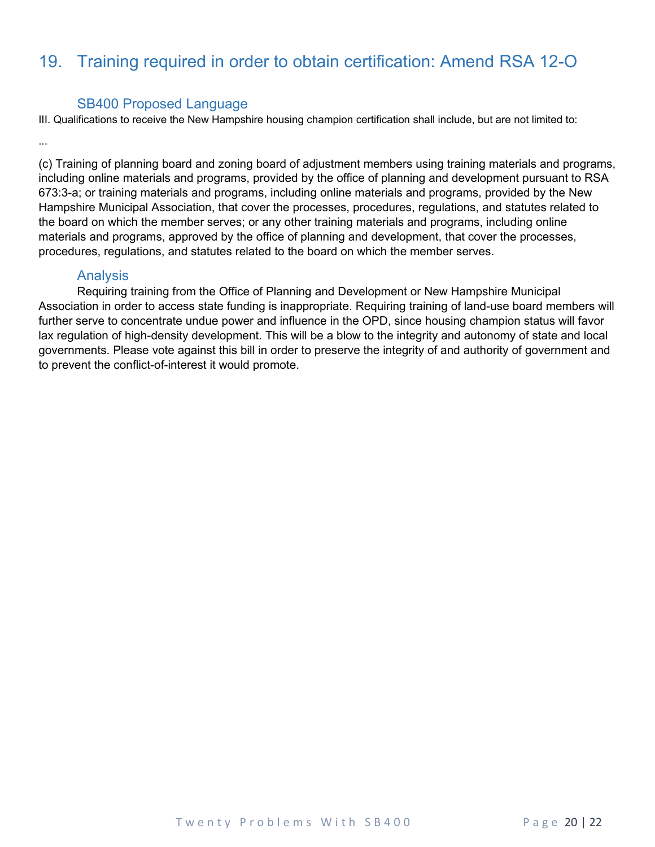### <span id="page-19-0"></span>19. Training required in order to obtain certification: Amend RSA 12-O

#### SB400 Proposed Language

<span id="page-19-1"></span>III. Qualifications to receive the New Hampshire housing champion certification shall include, but are not limited to:

(c) Training of planning board and zoning board of adjustment members using training materials and programs, including online materials and programs, provided by the office of planning and development pursuant to RSA 673:3-a; or training materials and programs, including online materials and programs, provided by the New Hampshire Municipal Association, that cover the processes, procedures, regulations, and statutes related to the board on which the member serves; or any other training materials and programs, including online materials and programs, approved by the office of planning and development, that cover the processes, procedures, regulations, and statutes related to the board on which the member serves.

#### Analysis

<span id="page-19-2"></span>Requiring training from the Office of Planning and Development or New Hampshire Municipal Association in order to access state funding is inappropriate. Requiring training of land-use board members will further serve to concentrate undue power and influence in the OPD, since housing champion status will favor lax regulation of high-density development. This will be a blow to the integrity and autonomy of state and local governments. Please vote against this bill in order to preserve the integrity of and authority of government and to prevent the conflict-of-interest it would promote.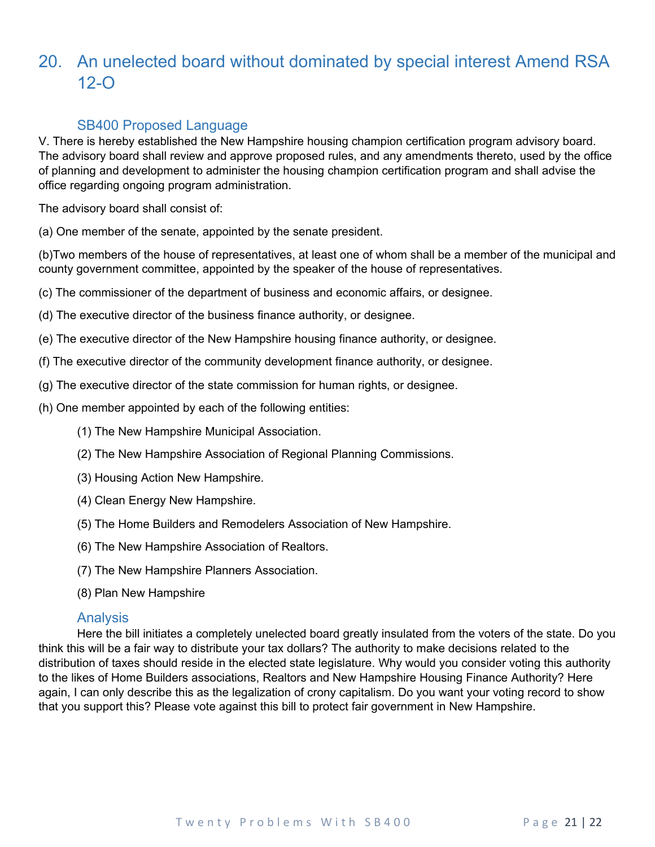### <span id="page-20-0"></span>20. An unelected board without dominated by special interest Amend RSA 12-O

### SB400 Proposed Language

<span id="page-20-1"></span>V. There is hereby established the New Hampshire housing champion certification program advisory board. The advisory board shall review and approve proposed rules, and any amendments thereto, used by the office of planning and development to administer the housing champion certification program and shall advise the office regarding ongoing program administration.

The advisory board shall consist of:

(a) One member of the senate, appointed by the senate president.

(b)Two members of the house of representatives, at least one of whom shall be a member of the municipal and county government committee, appointed by the speaker of the house of representatives.

(c) The commissioner of the department of business and economic affairs, or designee.

(d) The executive director of the business finance authority, or designee.

(e) The executive director of the New Hampshire housing finance authority, or designee.

- (f) The executive director of the community development finance authority, or designee.
- (g) The executive director of the state commission for human rights, or designee.
- (h) One member appointed by each of the following entities:
	- (1) The New Hampshire Municipal Association.
	- (2) The New Hampshire Association of Regional Planning Commissions.
	- (3) Housing Action New Hampshire.
	- (4) Clean Energy New Hampshire.
	- (5) The Home Builders and Remodelers Association of New Hampshire.
	- (6) The New Hampshire Association of Realtors.
	- (7) The New Hampshire Planners Association.
	- (8) Plan New Hampshire

### Analysis

<span id="page-20-2"></span>Here the bill initiates a completely unelected board greatly insulated from the voters of the state. Do you think this will be a fair way to distribute your tax dollars? The authority to make decisions related to the distribution of taxes should reside in the elected state legislature. Why would you consider voting this authority to the likes of Home Builders associations, Realtors and New Hampshire Housing Finance Authority? Here again, I can only describe this as the legalization of crony capitalism. Do you want your voting record to show that you support this? Please vote against this bill to protect fair government in New Hampshire.